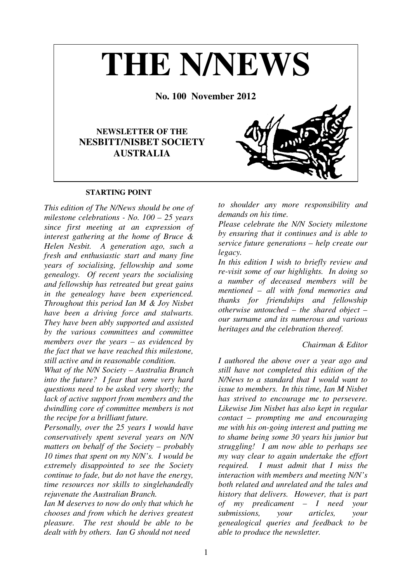

# **STARTING POINT**

*This edition of The N/News should be one of milestone celebrations - No. 100 – 25 years since first meeting at an expression of interest gathering at the home of Bruce & Helen Nesbit. A generation ago, such a fresh and enthusiastic start and many fine years of socialising, fellowship and some genealogy. Of recent years the socialising and fellowship has retreated but great gains in the genealogy have been experienced. Throughout this period Ian M & Joy Nisbet have been a driving force and stalwarts. They have been ably supported and assisted by the various committees and committee members over the years – as evidenced by the fact that we have reached this milestone, still active and in reasonable condition.* 

*What of the N/N Society – Australia Branch into the future? I fear that some very hard questions need to be asked very shortly; the lack of active support from members and the dwindling core of committee members is not the recipe for a brilliant future.* 

*Personally, over the 25 years I would have conservatively spent several years on N/N matters on behalf of the Society – probably 10 times that spent on my N/N's. I would be extremely disappointed to see the Society continue to fade, but do not have the energy, time resources nor skills to singlehandedly rejuvenate the Australian Branch.* 

*Ian M deserves to now do only that which he chooses and from which he derives greatest pleasure. The rest should be able to be dealt with by others. Ian G should not need* 

*to shoulder any more responsibility and demands on his time.* 

*Please celebrate the N/N Society milestone by ensuring that it continues and is able to service future generations – help create our legacy.* 

*In this edition I wish to briefly review and re-visit some of our highlights. In doing so a number of deceased members will be mentioned – all with fond memories and thanks for friendships and fellowship otherwise untouched – the shared object – our surname and its numerous and various heritages and the celebration thereof.* 

# *Chairman & Editor*

*I authored the above over a year ago and still have not completed this edition of the N/News to a standard that I would want to issue to members. In this time, Ian M Nisbet has strived to encourage me to persevere. Likewise Jim Nisbet has also kept in regular contact – prompting me and encouraging me with his on-going interest and putting me to shame being some 30 years his junior but struggling! I am now able to perhaps see my way clear to again undertake the effort required. I must admit that I miss the interaction with members and meeting N/N's both related and unrelated and the tales and history that delivers. However, that is part of my predicament – I need your submissions, your articles, your genealogical queries and feedback to be able to produce the newsletter.*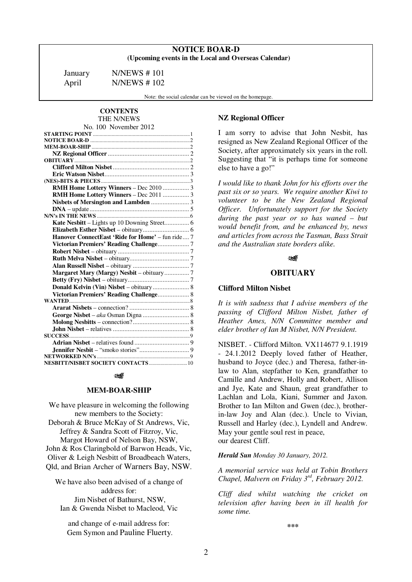# **NOTICE BOAR-D (Upcoming events in the Local and Overseas Calendar)**

January N/NEWS # 101 April N/NEWS # 102

Note: the social calendar can be viewed on the homepage.

#### **CONTENTS**  THE N/NEWS

| LLIE I VII VE VY                                 |  |
|--------------------------------------------------|--|
| No. 100 November 2012                            |  |
|                                                  |  |
|                                                  |  |
|                                                  |  |
|                                                  |  |
|                                                  |  |
|                                                  |  |
|                                                  |  |
|                                                  |  |
| RMH Home Lottery Winners - Dec 2010  3           |  |
| RMH Home Lottery Winners - Dec 2011  3           |  |
|                                                  |  |
|                                                  |  |
|                                                  |  |
| Kate Nesbitt - Lights up 10 Downing Street 6     |  |
|                                                  |  |
| Hanover ConnectEast 'Ride for Home' - fun ride 7 |  |
| Victorian Premiers' Reading Challenge 7          |  |
|                                                  |  |
|                                                  |  |
|                                                  |  |
|                                                  |  |
|                                                  |  |
|                                                  |  |
| Victorian Premiers' Reading Challenge 8          |  |
|                                                  |  |
|                                                  |  |
|                                                  |  |
|                                                  |  |
|                                                  |  |
|                                                  |  |
|                                                  |  |
|                                                  |  |
|                                                  |  |
|                                                  |  |
|                                                  |  |

#### 博

## **MEM-BOAR-SHIP**

We have pleasure in welcoming the following new members to the Society: Deborah & Bruce McKay of St Andrews, Vic, Jeffrey & Sandra Scott of Fitzroy, Vic, Margot Howard of Nelson Bay, NSW, John & Ros Claringbold of Barwon Heads, Vic, Oliver & Leigh Nesbitt of Broadbeach Waters, Qld, and Brian Archer of Warners Bay, NSW.

We have also been advised of a change of address for: Jim Nisbet of Bathurst, NSW, Ian & Gwenda Nisbet to Macleod, Vic

and change of e-mail address for: Gem Symon and Pauline Fluerty.

## **NZ Regional Officer**

I am sorry to advise that John Nesbit, has resigned as New Zealand Regional Officer of the Society, after approximately six years in the roll. Suggesting that "it is perhaps time for someone else to have a go!"

*I would like to thank John for his efforts over the past six or so years. We require another Kiwi to volunteer to be the New Zealand Regional Officer. Unfortunately support for the Society during the past year or so has waned – but would benefit from, and be enhanced by, news and articles from across the Tasman, Bass Strait and the Australian state borders alike.* 

#### ال<br>الأكساب

#### **OBITUARY**

# **Clifford Milton Nisbet**

*It is with sadness that I advise members of the passing of Clifford Milton Nisbet, father of Heather Ames, N/N Committee member and elder brother of Ian M Nisbet, N/N President.* 

NISBET. - Clifford Milton. VX114677 9.1.1919 - 24.1.2012 Deeply loved father of Heather, husband to Joyce (dec.) and Theresa, father-inlaw to Alan, stepfather to Ken, grandfather to Camille and Andrew, Holly and Robert, Allison and Jye, Kate and Shaun, great grandfather to Lachlan and Lola, Kiani, Summer and Jaxon. Brother to Ian Milton and Gwen (dec.), brotherin-law Joy and Alan (dec.). Uncle to Vivian, Russell and Harley (dec.), Lyndell and Andrew. May your gentle soul rest in peace, our dearest Cliff.

*Herald Sun Monday 30 January, 2012.* 

*A memorial service was held at Tobin Brothers Chapel, Malvern on Friday 3rd, February 2012.* 

*Cliff died whilst watching the cricket on television after having been in ill health for some time.* 

**\*\*\***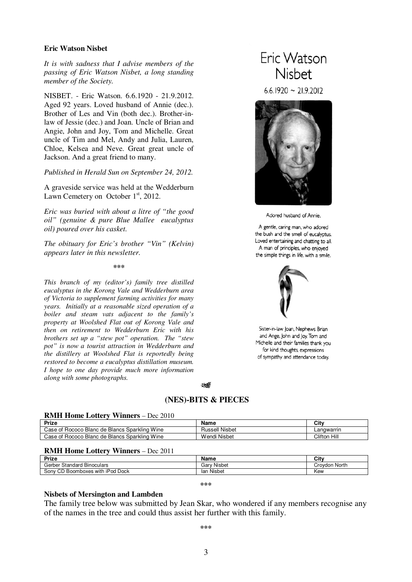# **Eric Watson Nisbet**

*It is with sadness that I advise members of the passing of Eric Watson Nisbet, a long standing member of the Society.* 

NISBET. - Eric Watson. 6.6.1920 - 21.9.2012. Aged 92 years. Loved husband of Annie (dec.). Brother of Les and Vin (both dec.). Brother-inlaw of Jessie (dec.) and Joan. Uncle of Brian and Angie, John and Joy, Tom and Michelle. Great uncle of Tim and Mel, Andy and Julia, Lauren, Chloe, Kelsea and Neve. Great great uncle of Jackson. And a great friend to many.

*Published in Herald Sun on September 24, 2012.* 

A graveside service was held at the Wedderburn Lawn Cemetery on October  $1<sup>st</sup>$ , 2012.

*Eric was buried with about a litre of "the good oil" (genuine & pure Blue Mallee eucalyptus oil) poured over his casket.* 

*The obituary for Eric's brother "Vin" (Kelvin) appears later in this newsletter.*

**\*\*\***

*This branch of my (editor's) family tree distilled eucalyptus in the Korong Vale and Wedderburn area of Victoria to supplement farming activities for many years. Initially at a reasonable sized operation of a boiler and steam vats adjacent to the family's property at Woolshed Flat out of Korong Vale and then on retirement to Wedderburn Eric with his brothers set up a "stew pot" operation. The "stew pot" is now a tourist attraction in Wedderburn and the distillery at Woolshed Flat is reportedly being restored to become a eucalyptus distillation museum. I hope to one day provide much more information along with some photographs.*

# Fric Watson **Nisbet**

 $6.6.1920 \sim 21.9.2012$ 



Adored husband of Annie.

A gentle, caring man, who adored the bush and the smell of eucalyptus. Loved entertaining and chatting to all. A man of principles, who enjoyed the simple things in life, with a smile.



Sister-in-law Joan, Nephews Brian and Ange, John and Joy, Tom and Michelle and their families thank you for kind thoughts, expressions of sympathy and attendance today.

#### $\leq$

# **(NES)-BITS & PIECES**

# **RMH Home Lottery Winners - Dec 2010**

| Prize                                                          | Name                  | Citv            |
|----------------------------------------------------------------|-----------------------|-----------------|
| Sparkling Wine<br>Case of Rococo Blanc de Blancs '             | <b>Russell Nisbet</b> | Langwarrın      |
| Sparkling Wine<br>f Rococo Blanc de Blancs<br>Case of $\Gamma$ | Wendi Nisbet          | Hill<br>Clifton |

### **RMH Home Lottery Winners** – Dec 2011

| Prize                                                   | Name                      | City          |
|---------------------------------------------------------|---------------------------|---------------|
| : Standard Binoculars<br>Gerber ∂                       | Nisbet<br>Gar∨            | Crovdon North |
| with iPod Dock<br>$\sim$ $\sim$<br>Sonv<br>CD Boomboxes | $\cdots$<br>Nisbet<br>lar | Kew           |

**\*\*\***

# **Nisbets of Mersington and Lambden**

The family tree below was submitted by Jean Skar, who wondered if any members recognise any of the names in the tree and could thus assist her further with this family.

**\*\*\***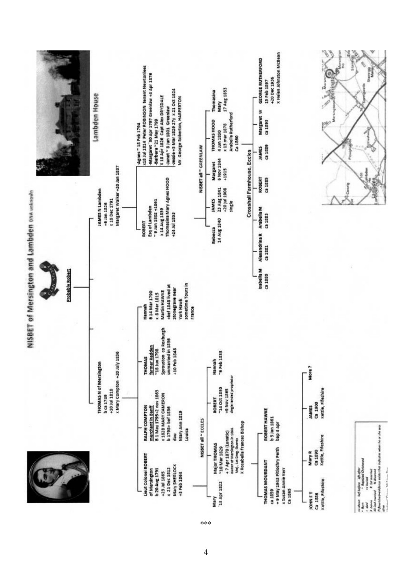

i.

ł

 $\overline{4}$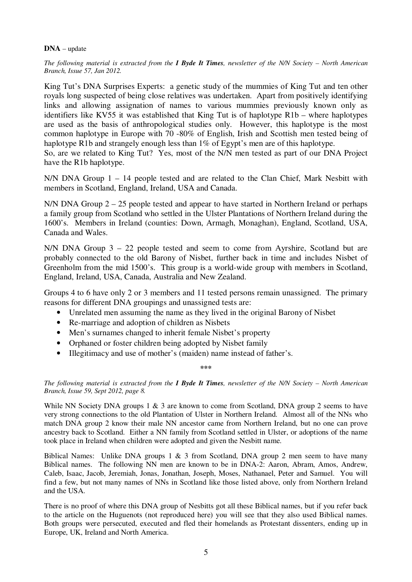# **DNA** – update

*The following material is extracted from the I Byde It Times, newsletter of the N/N Society – North American Branch, Issue 57, Jan 2012.* 

King Tut's DNA Surprises Experts: a genetic study of the mummies of King Tut and ten other royals long suspected of being close relatives was undertaken. Apart from positively identifying links and allowing assignation of names to various mummies previously known only as identifiers like KV55 it was established that King Tut is of haplotype R1b – where haplotypes are used as the basis of anthropological studies only. However, this haplotype is the most common haplotype in Europe with 70 -80% of English, Irish and Scottish men tested being of haplotype R1b and strangely enough less than 1% of Egypt's men are of this haplotype. So, are we related to King Tut? Yes, most of the N/N men tested as part of our DNA Project have the R1b haplotype.

 $N/N$  DNA Group  $1 - 14$  people tested and are related to the Clan Chief, Mark Nesbitt with members in Scotland, England, Ireland, USA and Canada.

N/N DNA Group 2 – 25 people tested and appear to have started in Northern Ireland or perhaps a family group from Scotland who settled in the Ulster Plantations of Northern Ireland during the 1600's. Members in Ireland (counties: Down, Armagh, Monaghan), England, Scotland, USA, Canada and Wales.

N/N DNA Group 3 – 22 people tested and seem to come from Ayrshire, Scotland but are probably connected to the old Barony of Nisbet, further back in time and includes Nisbet of Greenholm from the mid 1500's. This group is a world-wide group with members in Scotland, England, Ireland, USA, Canada, Australia and New Zealand.

Groups 4 to 6 have only 2 or 3 members and 11 tested persons remain unassigned. The primary reasons for different DNA groupings and unassigned tests are:

- Unrelated men assuming the name as they lived in the original Barony of Nisbet
- Re-marriage and adoption of children as Nisbets
- Men's surnames changed to inherit female Nisbet's property
- Orphaned or foster children being adopted by Nisbet family
- Illegitimacy and use of mother's (maiden) name instead of father's.

**\*\*\***

*The following material is extracted from the I Byde It Times, newsletter of the N/N Society – North American Branch, Issue 59, Sept 2012, page 8.* 

While NN Society DNA groups  $1 \& 3$  are known to come from Scotland, DNA group 2 seems to have very strong connections to the old Plantation of Ulster in Northern Ireland. Almost all of the NNs who match DNA group 2 know their male NN ancestor came from Northern Ireland, but no one can prove ancestry back to Scotland. Either a NN family from Scotland settled in Ulster, or adoptions of the name took place in Ireland when children were adopted and given the Nesbitt name.

Biblical Names: Unlike DNA groups  $1 \& 3$  from Scotland, DNA group 2 men seem to have many Biblical names. The following NN men are known to be in DNA-2: Aaron, Abram, Amos, Andrew, Caleb, Isaac, Jacob, Jeremiah, Jonas, Jonathan, Joseph, Moses, Nathanael, Peter and Samuel. You will find a few, but not many names of NNs in Scotland like those listed above, only from Northern Ireland and the USA.

There is no proof of where this DNA group of Nesbitts got all these Biblical names, but if you refer back to the article on the Huguenots (not reproduced here) you will see that they also used Biblical names. Both groups were persecuted, executed and fled their homelands as Protestant dissenters, ending up in Europe, UK, Ireland and North America.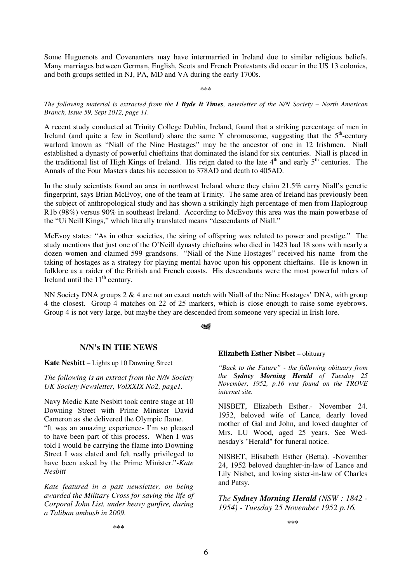Some Huguenots and Covenanters may have intermarried in Ireland due to similar religious beliefs. Many marriages between German, English, Scots and French Protestants did occur in the US 13 colonies, and both groups settled in NJ, PA, MD and VA during the early 1700s.

# **\*\*\***

## *The following material is extracted from the I Byde It Times, newsletter of the N/N Society – North American Branch, Issue 59, Sept 2012, page 11.*

A recent study conducted at Trinity College Dublin, Ireland, found that a striking percentage of men in Ireland (and quite a few in Scotland) share the same Y chromosome, suggesting that the  $5<sup>th</sup>$ -century warlord known as "Niall of the Nine Hostages" may be the ancestor of one in 12 Irishmen. Niall established a dynasty of powerful chieftains that dominated the island for six centuries. Niall is placed in the traditional list of High Kings of Ireland. His reign dated to the late  $4<sup>th</sup>$  and early  $5<sup>th</sup>$  centuries. The Annals of the Four Masters dates his accession to 378AD and death to 405AD.

In the study scientists found an area in northwest Ireland where they claim 21.5% carry Niall's genetic fingerprint, says Brian McEvoy, one of the team at Trinity. The same area of Ireland has previously been the subject of anthropological study and has shown a strikingly high percentage of men from Haplogroup R1b (98%) versus 90% in southeast Ireland. According to McEvoy this area was the main powerbase of the "Ui Neill Kings," which literally translated means "descendants of Niall."

McEvoy states: "As in other societies, the siring of offspring was related to power and prestige." The study mentions that just one of the O'Neill dynasty chieftains who died in 1423 had 18 sons with nearly a dozen women and claimed 599 grandsons. "Niall of the Nine Hostages" received his name from the taking of hostages as a strategy for playing mental havoc upon his opponent chieftains. He is known in folklore as a raider of the British and French coasts. His descendants were the most powerful rulers of Ireland until the  $11<sup>th</sup>$  century.

NN Society DNA groups  $2 \& 4$  are not an exact match with Niall of the Nine Hostages' DNA, with group 4 the closest. Group 4 matches on 22 of 25 markers, which is close enough to raise some eyebrows. Group 4 is not very large, but maybe they are descended from someone very special in Irish lore.

#### 12

# **N/N's IN THE NEWS**

**Kate Nesbitt** – Lights up 10 Downing Street

*The following is an extract from the N/N Society UK Society Newsletter, VolXXIX No2, page1.* 

Navy Medic Kate Nesbitt took centre stage at 10 Downing Street with Prime Minister David Cameron as she delivered the Olympic flame.

"It was an amazing experience- I'm so pleased to have been part of this process. When I was told I would be carrying the flame into Downing Street I was elated and felt really privileged to have been asked by the Prime Minister."*-Kate Nesbitt* 

*Kate featured in a past newsletter, on being awarded the Military Cross for saving the life of Corporal John List, under heavy gunfire, during a Taliban ambush in 2009.*

# **Elizabeth Esther Nisbet** – obituary

*"Back to the Future" - the following obituary from the Sydney Morning Herald of Tuesday 25 November, 1952, p.16 was found on the TROVE internet site.* 

NISBET, Elizabeth Esther.- November 24. 1952, beloved wife of Lance, dearly loved mother of Gal and John, and loved daughter of Mrs. LU Wood, aged 25 years. See Wednesday's "Herald" for funeral notice.

NISBET, Elisabeth Esther (Betta). -November 24, 1952 beloved daughter-in-law of Lance and Lily Nisbet, and loving sister-in-law of Charles and Patsy.

*The Sydney Morning Herald (NSW : 1842 - 1954) - Tuesday 25 November 1952 p.16.*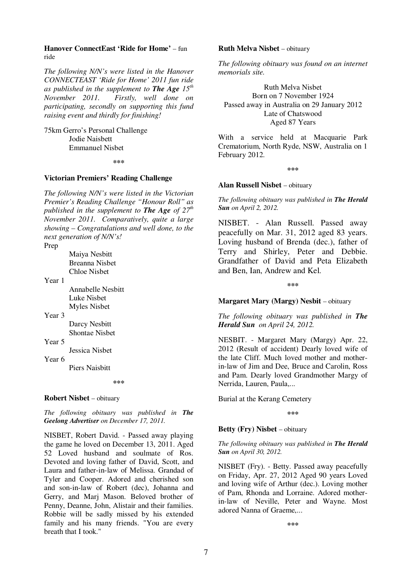#### **Hanover ConnectEast 'Ride for Home'** – fun ride

*The following N/N's were listed in the Hanover CONNECTEAST 'Ride for Home' 2011 fun ride as published in the supplement to The Age 15th November 2011. Firstly, well done on participating, secondly on supporting this fund raising event and thirdly for finishing!* 

75km Gerro's Personal Challenge Jodie Naisbett Emmanuel Nisbet

**\*\*\***

#### **Victorian Premiers' Reading Challenge**

*The following N/N's were listed in the Victorian Premier's Reading Challenge "Honour Roll" as published in the supplement to The Age of 27th November 2011. Comparatively, quite a large showing – Congratulations and well done, to the next generation of N/N's!* 

Prep

 Maiya Nesbitt Breanna Nisbet Chloe Nisbet

Year 1

 Annabelle Nesbitt Luke Nisbet Myles Nisbet

Year 3

 Darcy Nesbitt Shontae Nisbet

Year 5

 Jessica Nisbet Year 6

Piers Naisbitt

**\*\*\***

#### **Robert Nisbet** – obituary

*The following obituary was published in The Geelong Advertiser on December 17, 2011.* 

NISBET, Robert David. - Passed away playing the game he loved on December 13, 2011. Aged 52 Loved husband and soulmate of Ros. Devoted and loving father of David, Scott, and Laura and father-in-law of Melissa. Grandad of Tyler and Cooper. Adored and cherished son and son-in-law of Robert (dec), Johanna and Gerry, and Marj Mason. Beloved brother of Penny, Deanne, John, Alistair and their families. Robbie will be sadly missed by his extended family and his many friends. "You are every breath that I took."

#### **Ruth Melva Nisbet** – obituary

*The following obituary was found on an internet memorials site.* 

Ruth Melva Nisbet Born on 7 November 1924 Passed away in Australia on 29 January 2012 Late of Chatswood Aged 87 Years

With a service held at Macquarie Park Crematorium, North Ryde, NSW, Australia on 1 February 2012.

**\*\*\***

#### **Alan Russell Nisbet** – obituary

*The following obituary was published in The Herald Sun on April 2, 2012.* 

NISBET. - Alan Russell. Passed away peacefully on Mar. 31, 2012 aged 83 years. Loving husband of Brenda (dec.), father of Terry and Shirley, Peter and Debbie. Grandfather of David and Peta Elizabeth and Ben, Ian, Andrew and Kel.

**\*\*\***

#### **Margaret Mary (Margy) Nesbit** – obituary

*The following obituary was published in The Herald Sun on April 24, 2012.* 

NESBIT. - Margaret Mary (Margy) Apr. 22, 2012 (Result of accident) Dearly loved wife of the late Cliff. Much loved mother and motherin-law of Jim and Dee, Bruce and Carolin, Ross and Pam. Dearly loved Grandmother Margy of Nerrida, Lauren, Paula,...

Burial at the Kerang Cemetery

**\*\*\***

# **Betty (Fry) Nisbet** – obituary

*The following obituary was published in The Herald Sun on April 30, 2012.* 

NISBET (Fry). - Betty. Passed away peacefully on Friday, Apr. 27, 2012 Aged 90 years Loved and loving wife of Arthur (dec.). Loving mother of Pam, Rhonda and Lorraine. Adored motherin-law of Neville, Peter and Wayne. Most adored Nanna of Graeme,...

**\*\*\***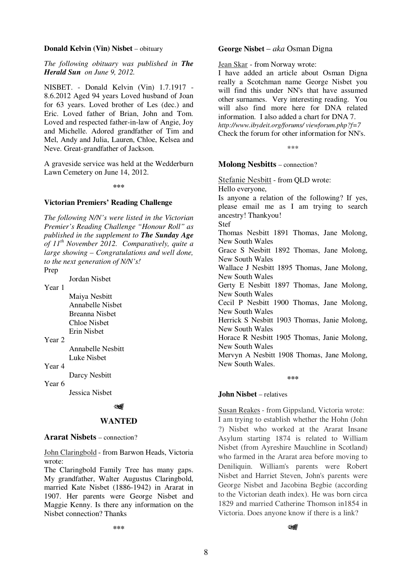# **Donald Kelvin (Vin) Nisbet** – obituary

*The following obituary was published in The Herald Sun on June 9, 2012.* 

NISBET. - Donald Kelvin (Vin) 1.7.1917 - 8.6.2012 Aged 94 years Loved husband of Joan for 63 years. Loved brother of Les (dec.) and Eric. Loved father of Brian, John and Tom. Loved and respected father-in-law of Angie, Joy and Michelle. Adored grandfather of Tim and Mel, Andy and Julia, Lauren, Chloe, Kelsea and Neve. Great-grandfather of Jackson.

A graveside service was held at the Wedderburn Lawn Cemetery on June 14, 2012.

**\*\*\***

#### **Victorian Premiers' Reading Challenge**

*The following N/N's were listed in the Victorian Premier's Reading Challenge "Honour Roll" as published in the supplement to The Sunday Age of 11th November 2012. Comparatively, quite a large showing – Congratulations and well done, to the next generation of N/N's!* 

Prep

Jordan Nisbet

Year 1

 Maiya Nesbitt Annabelle Nisbet Breanna Nisbet Chloe Nisbet Erin Nisbet

Year 2

 Annabelle Nesbitt Luke Nisbet

Year 4

Darcy Nesbitt

Year 6 Jessica Nisbet

#### 12

#### **WANTED**

**Ararat Nisbets** – connection?

John Claringbold - from Barwon Heads, Victoria wrote:

The Claringbold Family Tree has many gaps. My grandfather, Walter Augustus Claringbold, married Kate Nisbet (1886-1942) in Ararat in 1907. Her parents were George Nisbet and Maggie Kenny. Is there any information on the Nisbet connection? Thanks

**\*\*\***

#### **George Nisbet** – *aka* Osman Digna

Jean Skar - from Norway wrote:

I have added an article about Osman Digna really a Scotchman name George Nisbet you will find this under NN's that have assumed other surnames. Very interesting reading. You will also find more here for DNA related information. I also added a chart for DNA 7. *http://www.ibydeit.org/forums/ viewforum.php?f=7*  Check the forum for other information for NN's.

\*\*\*

#### **Molong Nesbitts** – connection?

Stefanie Nesbitt - from QLD wrote:

Hello everyone,

Is anyone a relation of the following? If yes, please email me as I am trying to search ancestry! Thankyou! Stef Thomas Nesbitt 1891 Thomas, Jane Molong, New South Wales

Grace S Nesbitt 1892 Thomas, Jane Molong, New South Wales

Wallace J Nesbitt 1895 Thomas, Jane Molong, New South Wales

Gerty E Nesbitt 1897 Thomas, Jane Molong, New South Wales

Cecil P Nesbitt 1900 Thomas, Jane Molong, New South Wales

Herrick S Nesbitt 1903 Thomas, Janie Molong, New South Wales

Horace R Nesbitt 1905 Thomas, Janie Molong, New South Wales

Mervyn A Nesbitt 1908 Thomas, Jane Molong, New South Wales.

**\*\*\***

#### **John Nisbet** – relatives

Susan Reakes - from Gippsland, Victoria wrote: I am trying to establish whether the Hohn (John ?) Nisbet who worked at the Ararat Insane Asylum starting 1874 is related to William Nisbet (from Ayreshire Mauchline in Scotland) who farmed in the Ararat area before moving to Deniliquin. William's parents were Robert Nisbet and Harriet Steven, John's parents were George Nisbet and Jacobina Begbie (according to the Victorian death index). He was born circa 1829 and married Catherine Thomson in1854 in Victoria. Does anyone know if there is a link?

₩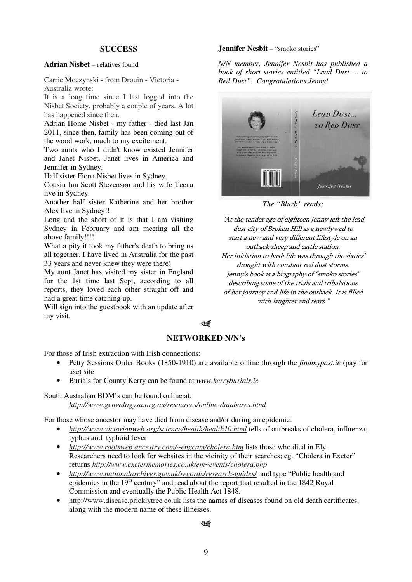# **SUCCESS**

# **Adrian Nisbet** – relatives found

Carrie Moczynski - from Drouin - Victoria - Australia wrote:

It is a long time since I last logged into the Nisbet Society, probably a couple of years. A lot has happened since then.

Adrian Home Nisbet - my father - died last Jan 2011, since then, family has been coming out of the wood work, much to my excitement.

Two aunts who I didn't know existed Jennifer and Janet Nisbet, Janet lives in America and Jennifer in Sydney.

Half sister Fiona Nisbet lives in Sydney.

Cousin Ian Scott Stevenson and his wife Teena live in Sydney.

Another half sister Katherine and her brother Alex live in Sydney!!

Long and the short of it is that I am visiting Sydney in February and am meeting all the above family!!!!

What a pity it took my father's death to bring us all together. I have lived in Australia for the past 33 years and never knew they were there!

My aunt Janet has visited my sister in England for the 1st time last Sept, according to all reports, they loved each other straight off and had a great time catching up.

Will sign into the guestbook with an update after my visit.

# **Jennifer Nesbit** – "smoko stories"

*N/N member, Jennifer Nesbit has published a book of short stories entitled "Lead Dust … to Red Dust". Congratulations Jenny!* 



*The "Blurb" reads:* 

"At the tender age of eighteen Jenny left the lead dust city of Broken Hill as a newlywed to start a new and very different lifestyle on an outback sheep and cattle station. Her initiation to bush life was through the sixties' drought with constant red dust storms. Jenny's book is a biography of "smoko stories" describing some of the trials and tribulations of her journey and life in the outback. It is filled with laughter and tears."

道路

# **NETWORKED N/N's**

For those of Irish extraction with Irish connections:

- Petty Sessions Order Books (1850-1910) are available online through the *findmypast.ie* (pay for use) site
- Burials for County Kerry can be found at *www.kerryburials.ie*

# South Australian BDM's can be found online at:

*http://www.genealogysa.org.au/resources/online-databases.html*

For those whose ancestor may have died from disease and/or during an epidemic:

- *http://www.victorianweb.org/science/health/health10.html* tells of outbreaks of cholera, influenza, typhus and typhoid fever
- *http://www.rootsweb.ancestry.com/~engcam/cholera.htm* lists those who died in Ely. Researchers need to look for websites in the vicinity of their searches; eg. "Cholera in Exeter" returns *http://www.exetermemories.co.uk/em~events/cholera.php*
- *http://www.nationalarchives.gov.uk/records/research-guides/* and type "Public health and epidemics in the  $19<sup>th</sup>$  century" and read about the report that resulted in the 1842 Royal Commission and eventually the Public Health Act 1848.
- http://www.disease.pricklytree.co.uk lists the names of diseases found on old death certificates, along with the modern name of these illnesses.

પ∰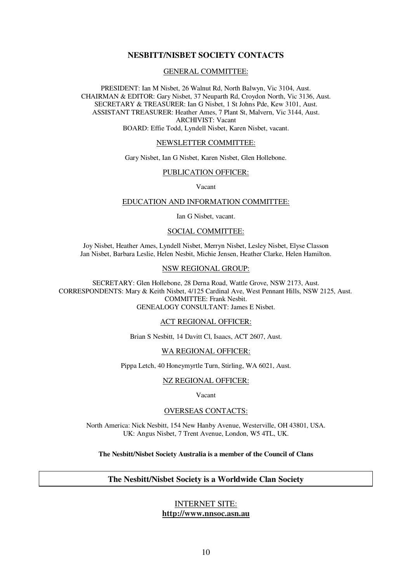# **NESBITT/NISBET SOCIETY CONTACTS**

## GENERAL COMMITTEE:

PRESIDENT: Ian M Nisbet, 26 Walnut Rd, North Balwyn, Vic 3104, Aust. CHAIRMAN & EDITOR: Gary Nisbet, 37 Neuparth Rd, Croydon North, Vic 3136, Aust. SECRETARY & TREASURER: Ian G Nisbet, 1 St Johns Pde, Kew 3101, Aust. ASSISTANT TREASURER: Heather Ames, 7 Plant St, Malvern, Vic 3144, Aust. ARCHIVIST: Vacant BOARD: Effie Todd, Lyndell Nisbet, Karen Nisbet, vacant.

#### NEWSLETTER COMMITTEE:

Gary Nisbet, Ian G Nisbet, Karen Nisbet, Glen Hollebone.

#### PUBLICATION OFFICER:

Vacant

#### EDUCATION AND INFORMATION COMMITTEE:

Ian G Nisbet, vacant.

#### SOCIAL COMMITTEE:

Joy Nisbet, Heather Ames, Lyndell Nisbet, Merryn Nisbet, Lesley Nisbet, Elyse Classon Jan Nisbet, Barbara Leslie, Helen Nesbit, Michie Jensen, Heather Clarke, Helen Hamilton.

#### NSW REGIONAL GROUP:

SECRETARY: Glen Hollebone, 28 Derna Road, Wattle Grove, NSW 2173, Aust. CORRESPONDENTS: Mary & Keith Nisbet, 4/125 Cardinal Ave, West Pennant Hills, NSW 2125, Aust. COMMITTEE: Frank Nesbit. GENEALOGY CONSULTANT: James E Nisbet.

#### ACT REGIONAL OFFICER:

Brian S Nesbitt, 14 Davitt Cl, Isaacs, ACT 2607, Aust.

#### WA REGIONAL OFFICER:

Pippa Letch, 40 Honeymyrtle Turn, Stirling, WA 6021, Aust.

#### NZ REGIONAL OFFICER:

Vacant

#### OVERSEAS CONTACTS:

North America: Nick Nesbitt, 154 New Hanby Avenue, Westerville, OH 43801, USA. UK: Angus Nisbet, 7 Trent Avenue, London, W5 4TL, UK.

### **The Nesbitt/Nisbet Society Australia is a member of the Council of Clans**

#### **The Nesbitt/Nisbet Society is a Worldwide Clan Society**

# INTERNET SITE: **http://www.nnsoc.asn.au**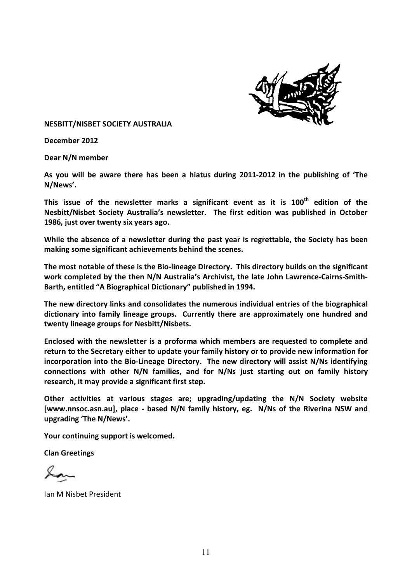

**NESBITT/NISBET SOCIETY AUSTRALIA** 

**December 2012** 

**Dear N/N member** 

**As you will be aware there has been a hiatus during 2011-2012 in the publishing of 'The N/News'.** 

**This issue of the newsletter marks a significant event as it is 100th edition of the Nesbitt/Nisbet Society Australia's newsletter. The first edition was published in October 1986, just over twenty six years ago.** 

**While the absence of a newsletter during the past year is regrettable, the Society has been making some significant achievements behind the scenes.** 

**The most notable of these is the Bio-lineage Directory. This directory builds on the significant work completed by the then N/N Australia's Archivist, the late John Lawrence-Cairns-Smith-Barth, entitled "A Biographical Dictionary" published in 1994.** 

**The new directory links and consolidates the numerous individual entries of the biographical dictionary into family lineage groups. Currently there are approximately one hundred and twenty lineage groups for Nesbitt/Nisbets.** 

**Enclosed with the newsletter is a proforma which members are requested to complete and return to the Secretary either to update your family history or to provide new information for incorporation into the Bio-Lineage Directory. The new directory will assist N/Ns identifying connections with other N/N families, and for N/Ns just starting out on family history research, it may provide a significant first step.** 

**Other activities at various stages are; upgrading/updating the N/N Society website [www.nnsoc.asn.au], place - based N/N family history, eg. N/Ns of the Riverina NSW and upgrading 'The N/News'.** 

**Your continuing support is welcomed.** 

**Clan Greetings** 

Ian M Nisbet President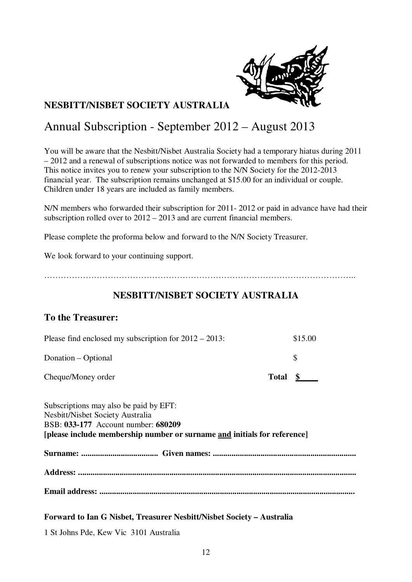

# **NESBITT/NISBET SOCIETY AUSTRALIA**

# Annual Subscription - September 2012 – August 2013

You will be aware that the Nesbitt/Nisbet Australia Society had a temporary hiatus during 2011 – 2012 and a renewal of subscriptions notice was not forwarded to members for this period. This notice invites you to renew your subscription to the N/N Society for the 2012-2013 financial year. The subscription remains unchanged at \$15.00 for an individual or couple. Children under 18 years are included as family members.

N/N members who forwarded their subscription for 2011- 2012 or paid in advance have had their subscription rolled over to 2012 – 2013 and are current financial members.

Please complete the proforma below and forward to the N/N Society Treasurer.

We look forward to your continuing support.

…………………………………………………………………………………………………..

# **NESBITT/NISBET SOCIETY AUSTRALIA**

# **To the Treasurer:**

| Please find enclosed my subscription for $2012 - 2013$ :                                                                                                                                      |  | \$15.00         |  |  |  |
|-----------------------------------------------------------------------------------------------------------------------------------------------------------------------------------------------|--|-----------------|--|--|--|
| Donation – Optional                                                                                                                                                                           |  | \$              |  |  |  |
| Cheque/Money order                                                                                                                                                                            |  | Total <u>\$</u> |  |  |  |
| Subscriptions may also be paid by EFT:<br>Nesbitt/Nisbet Society Australia<br>BSB: 033-177 Account number: 680209<br>[please include membership number or surname and initials for reference] |  |                 |  |  |  |
|                                                                                                                                                                                               |  |                 |  |  |  |
|                                                                                                                                                                                               |  |                 |  |  |  |
|                                                                                                                                                                                               |  |                 |  |  |  |
| Forward to Ian G Nisbet, Treasurer Nesbitt/Nisbet Society - Australia                                                                                                                         |  |                 |  |  |  |
| 1 St Johns Pde, Kew Vic 3101 Australia                                                                                                                                                        |  |                 |  |  |  |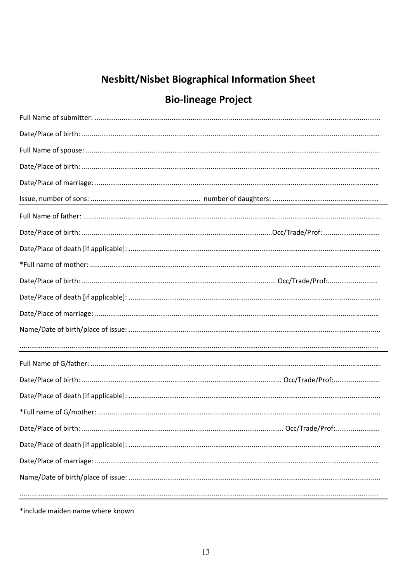# **Nesbitt/Nisbet Biographical Information Sheet**

# **Bio-lineage Project**

\*include maiden name where known